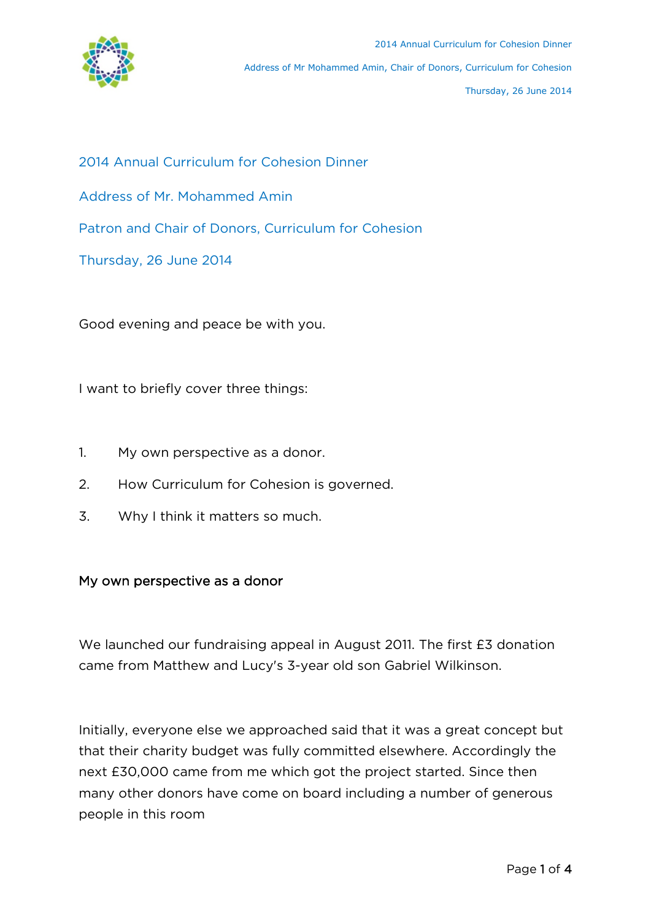

- 2014 Annual Curriculum for Cohesion Dinner
- Address of Mr. Mohammed Amin
- Patron and Chair of Donors, Curriculum for Cohesion
- Thursday, 26 June 2014

Good evening and peace be with you.

I want to briefly cover three things:

- 1. My own perspective as a donor.
- 2. How Curriculum for Cohesion is governed.
- 3. Why I think it matters so much.

## My own perspective as a donor

We launched our fundraising appeal in August 2011. The first £3 donation came from Matthew and Lucy's 3-year old son Gabriel Wilkinson.

Initially, everyone else we approached said that it was a great concept but that their charity budget was fully committed elsewhere. Accordingly the next £30,000 came from me which got the project started. Since then many other donors have come on board including a number of generous people in this room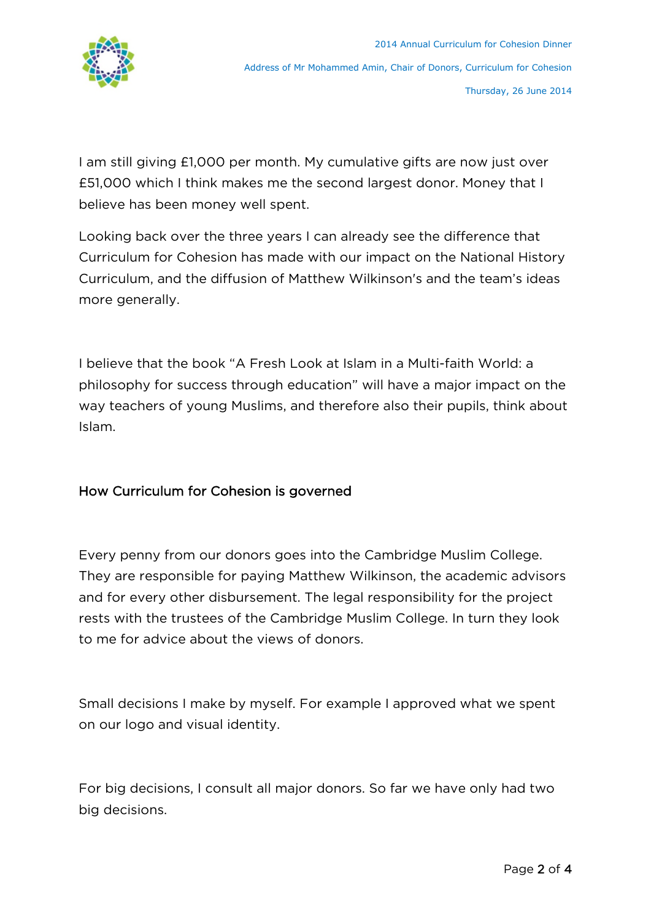

I am still giving £1,000 per month. My cumulative gifts are now just over £51,000 which I think makes me the second largest donor. Money that I believe has been money well spent.

Looking back over the three years I can already see the difference that Curriculum for Cohesion has made with our impact on the National History Curriculum, and the diffusion of Matthew Wilkinson's and the team's ideas more generally.

I believe that the book "A Fresh Look at Islam in a Multi-faith World: a philosophy for success through education" will have a major impact on the way teachers of young Muslims, and therefore also their pupils, think about Islam.

## How Curriculum for Cohesion is governed

Every penny from our donors goes into the Cambridge Muslim College. They are responsible for paying Matthew Wilkinson, the academic advisors and for every other disbursement. The legal responsibility for the project rests with the trustees of the Cambridge Muslim College. In turn they look to me for advice about the views of donors.

Small decisions I make by myself. For example I approved what we spent on our logo and visual identity.

For big decisions, I consult all major donors. So far we have only had two big decisions.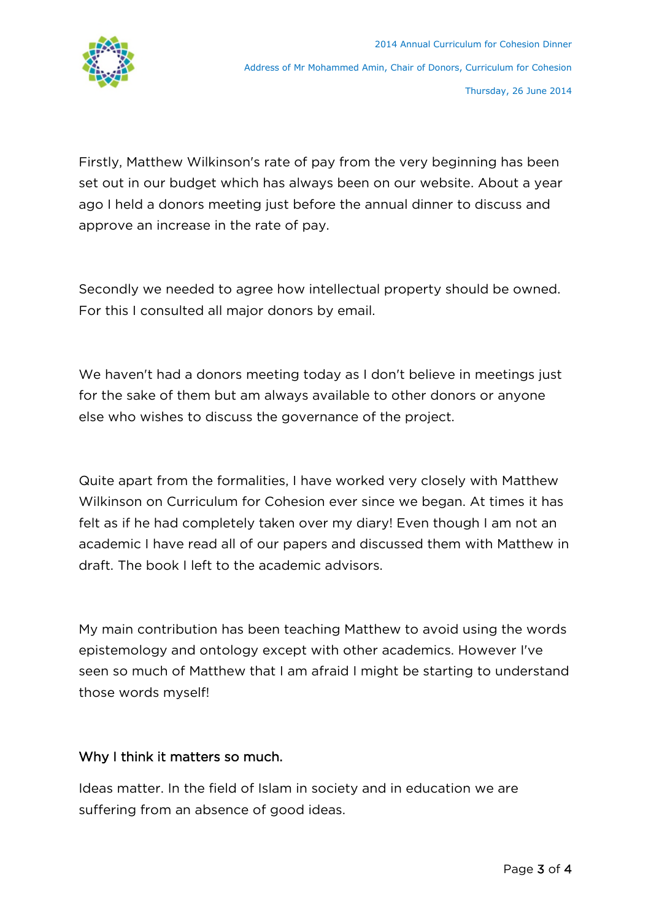

Firstly, Matthew Wilkinson's rate of pay from the very beginning has been set out in our budget which has always been on our website. About a year ago I held a donors meeting just before the annual dinner to discuss and approve an increase in the rate of pay.

Secondly we needed to agree how intellectual property should be owned. For this I consulted all major donors by email.

We haven't had a donors meeting today as I don't believe in meetings just for the sake of them but am always available to other donors or anyone else who wishes to discuss the governance of the project.

Quite apart from the formalities, I have worked very closely with Matthew Wilkinson on Curriculum for Cohesion ever since we began. At times it has felt as if he had completely taken over my diary! Even though I am not an academic I have read all of our papers and discussed them with Matthew in draft. The book I left to the academic advisors.

My main contribution has been teaching Matthew to avoid using the words epistemology and ontology except with other academics. However I've seen so much of Matthew that I am afraid I might be starting to understand those words myself!

## Why I think it matters so much.

Ideas matter. In the field of Islam in society and in education we are suffering from an absence of good ideas.